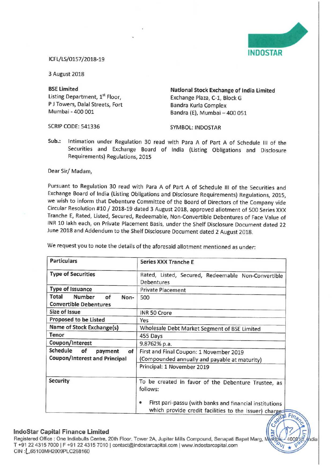

## ICFL/LS/0157/2013»19

<sup>3</sup> August 2018

P J Towers, Dalal Streets, Fort<br>Mumbai - 400 001

**BSE Limited Construction Exchange of India Limited Listing Department. 1st Floor.** Can be Exchange Plaza C-1. Block G Exchange Plaza, C-1, Block G<br>Bandra Kurla Complex Bandra (E), Mumbai - 400 051

SCRIP CODE: 541336 SYMBOL: INDOSTAR

Sub.: Intimation under Regulation 30 read with Para <sup>A</sup> of Part A of Schedule III of the Securities and Exchange Board of India (Listing Obligations and Disclosure Requirements) Regulations, 2015

Dear Sir/ Madam,

Pursuant to Regulation 30 read with Para <sup>A</sup> of Part <sup>A</sup> of Schedule III of the Securities and Exchange Board of India (Listing Obligations and Disclosure Requirements) Regulations, 2015, we wish to inform that Debenture Committee of the Board of Directors of the Company vide Circular Resolution #10 / 2018-19 dated <sup>3</sup> August 2018, approved allotment of <sup>500</sup> Series XXX Tranche E, Rated, Listed, Secured, Redeemable, Non-Convertible Debentures of Face Value of INR <sup>10</sup> lakh each, on Private Placement Basis, under the Shelf Disclosure Document dated <sup>22</sup> June <sup>2018</sup> and Addendum to the Shelf Disclosure Document dated <sup>2</sup> August 2018.

We request you to note the details of the aforesaid allotment mentioned as under:

| <b>Particulars</b>                                                      | <b>Series XXX Tranche E</b>                                                                                           |
|-------------------------------------------------------------------------|-----------------------------------------------------------------------------------------------------------------------|
| <b>Type of Securities</b>                                               | Rated, Listed, Secured, Redeemable Non-Convertible<br><b>Debentures</b>                                               |
| <b>Type of Issuance</b>                                                 | <b>Private Placement</b>                                                                                              |
| Number<br>Total<br>of<br>Non-<br><b>Convertible Debentures</b>          | 500                                                                                                                   |
| Size of Issue                                                           | INR 50 Crore                                                                                                          |
| <b>Proposed to be Listed</b>                                            | Yes                                                                                                                   |
| <b>Name of Stock Exchange(s)</b>                                        | Wholesale Debt Market Segment of BSE Limited                                                                          |
| Tenor                                                                   | 455 Days                                                                                                              |
| Coupon/Interest                                                         | 9.8762% p.a.                                                                                                          |
| Schedule<br>of<br>payment<br>of<br><b>Coupon/Interest and Principal</b> | First and Final Coupon: 1 November 2019                                                                               |
|                                                                         | (Compounded annually and payable at maturity)                                                                         |
|                                                                         | Principal: 1 November 2019                                                                                            |
| <b>Security</b>                                                         | To be created in favor of the Debenture Trustee, as<br>follows:                                                       |
|                                                                         | First pari-passu (with banks and financial institutions<br>۰<br>which provide credit facilities to the Issuer) charge |

## lndoStar Capital Finance Limited

Registered Office : One Indiabulls Centre, 20th Floor, Tower 2A, Jupiter Mills Compound, Senapati Bapat Marg, Murft T +91 22 4315 7000 | F +91 22 4315 7010 | contact@indostarcapital.com | www.indostarcapital.com CIN : [\_65100MH2009PLC268160